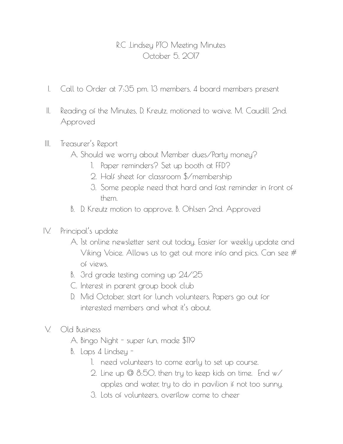## R.C .Lindsey PTO Meeting Minutes October 5, 2017

- I. Call to Order at 7:35 pm. 13 members, 4 board members present
- II. Reading of the Minutes, D. Kreutz, motioned to waive. M. Caudill 2nd. Approved
- III. Treasurer's Report
	- A. Should we worry about Member dues/Party money?
		- 1. Paper reminders? Set up booth at FFD?
		- 2. Half sheet for classroom \$/membership
		- 3. Some people need that hard and fast reminder in front of them.
	- B. D. Kreutz motion to approve. B. Ohlsen 2nd. Approved
- IV. Principal's update
	- A. 1st online newsletter sent out today. Easier for weekly update and Viking Voice. Allows us to get out more info and pics. Can see # of views.
	- B. 3rd grade testing coming up 24/25
	- C. Interest in parent group book club
	- D. Mid October, start for lunch volunteers. Papers go out for interested members and what it's about.
- V. Old Business
	- A. Bingo Night super fun, made \$119
	- B. Laps 4 Lindsey
		- 1. need volunteers to come early to set up course.
		- 2. Line up @ 8:50, then try to keep kids on time. End w/ apples and water, try to do in pavilion if not too sunny.
		- 3. Lots of volunteers, overflow come to cheer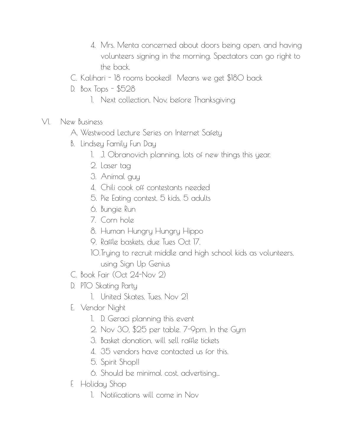- 4. Mrs. Menta concerned about doors being open, and having volunteers signing in the morning. Spectators can go right to the back.
- C. Kalihari 18 rooms booked! Means we get \$180 back
- D. Box Tops \$528
	- 1. Next collection, Nov, before Thanksgiving
- VI. New Business
	- A. Westwood Lecture Series on Internet Safety
	- B. Lindsey Family Fun Day
		- 1. J. Obranovich planning, lots of new things this year.
		- 2. Laser tag
		- 3. Animal guy
		- 4. Chili cook off contestants needed
		- 5. Pie Eating contest, 5 kids, 5 adults
		- 6. Bungie Run
		- 7. Corn hole
		- 8. Human Hungry Hungry Hippo
		- 9. Raffle baskets, due Tues Oct 17.
		- 10.Trying to recruit middle and high school kids as volunteers, using Sign Up Genius
	- C. Book Fair (Oct 24-Nov 2)
	- D. PTO Skating Party
		- 1. United Skates, Tues. Nov 21
	- E. Vendor Night
		- 1. D. Geraci planning this event
		- 2. Nov 30, \$25 per table. 7-9pm. In the Gym
		- 3. Basket donation, will sell raffle tickets
		- 4. 35 vendors have contacted us for this.
		- 5. Spirit Shop!!
		- 6. Should be minimal cost, advertising...
	- F. Holiday Shop
		- 1. Notifications will come in Nov